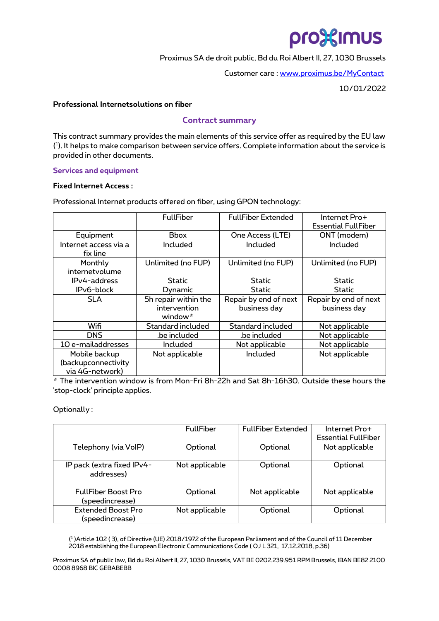# pro%imus

Proximus SA de droit public, Bd du Roi Albert II, 27, 1030 Brussels

Customer care [: www.proximus.be/MyContact](http://www.proximus.be/MyContact)

10/01/2022

#### **Professional Internetsolutions on fiber**

## **Contract summary**

This contract summary provides the main elements of this service offer as required by the EU law ( 1 ). It helps to make comparison between service offers. Complete information about the service is provided in other documents.

#### **Services and equipment**

#### **Fixed Internet Access :**

Professional Internet products offered on fiber, using GPON technology:

|                                                         | <b>FullFiber</b>                                | <b>FullFiber Extended</b>             | Internet Pro+<br><b>Essential FullFiber</b> |
|---------------------------------------------------------|-------------------------------------------------|---------------------------------------|---------------------------------------------|
| Equipment                                               | <b>Bbox</b>                                     | One Access (LTE)                      | ONT (modem)                                 |
| Internet access via a<br>fix line                       | Included                                        | Included                              | Included                                    |
| Monthly<br>internetvolume                               | Unlimited (no FUP)                              | Unlimited (no FUP)                    | Unlimited (no FUP)                          |
| IPv4-address                                            | Static                                          | Static                                | Static                                      |
| IP <sub>v</sub> 6-block                                 | Dynamic                                         | <b>Static</b>                         | Static                                      |
| <b>SLA</b>                                              | 5h repair within the<br>intervention<br>window* | Repair by end of next<br>business day | Repair by end of next<br>business day       |
| Wifi                                                    | Standard included                               | Standard included                     | Not applicable                              |
| <b>DNS</b>                                              | .be included                                    | .be included                          | Not applicable                              |
| 10 e-mailaddresses                                      | <b>Included</b>                                 | Not applicable                        | Not applicable                              |
| Mobile backup<br>(backupconnectivity<br>via 4G-network) | Not applicable                                  | Included                              | Not applicable                              |

\* The intervention window is from Mon-Fri 8h-22h and Sat 8h-16h30. Outside these hours the 'stop-clock' principle applies.

Optionally :

|                                               | <b>FullFiber</b> | <b>FullFiber Extended</b> | Internet Pro+<br><b>Essential FullFiber</b> |
|-----------------------------------------------|------------------|---------------------------|---------------------------------------------|
| Telephony (via VoIP)                          | Optional         | Optional                  | Not applicable                              |
| IP pack (extra fixed IPv4-<br>addresses)      | Not applicable   | Optional                  | Optional                                    |
| <b>FullFiber Boost Pro</b><br>(speedincrease) | Optional         | Not applicable            | Not applicable                              |
| <b>Extended Boost Pro</b><br>(speedincrease)  | Not applicable   | Optional                  | Optional                                    |

( 1 )Article 102 ( 3), of Directive (UE) 2018/1972 of the European Parliament and of the Council of 11 December 2018 establishing the European Electronic Communications Code ( OJ L 321, 17.12.2018, p.36)

Proximus SA of public law, Bd du Roi Albert II, 27, 1030 Brussels, VAT BE 0202.239.951 RPM Brussels, IBAN BE82 2100 0008 8968 BIC GEBABEBB